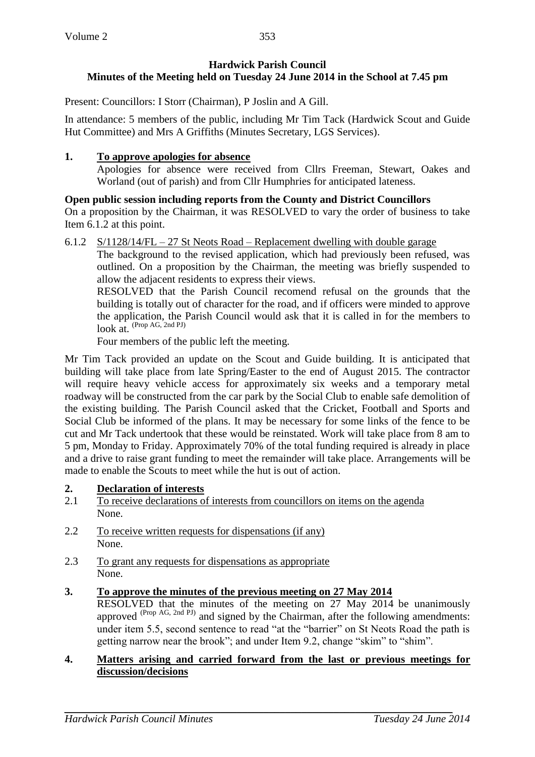# **Hardwick Parish Council Minutes of the Meeting held on Tuesday 24 June 2014 in the School at 7.45 pm**

Present: Councillors: I Storr (Chairman), P Joslin and A Gill.

In attendance: 5 members of the public, including Mr Tim Tack (Hardwick Scout and Guide Hut Committee) and Mrs A Griffiths (Minutes Secretary, LGS Services).

# **1. To approve apologies for absence**

Apologies for absence were received from Cllrs Freeman, Stewart, Oakes and Worland (out of parish) and from Cllr Humphries for anticipated lateness.

**Open public session including reports from the County and District Councillors** On a proposition by the Chairman, it was RESOLVED to vary the order of business to take Item 6.1.2 at this point.

6.1.2  $S/1128/14/FL - 27$  St Neots Road – Replacement dwelling with double garage

The background to the revised application, which had previously been refused, was outlined. On a proposition by the Chairman, the meeting was briefly suspended to allow the adjacent residents to express their views.

RESOLVED that the Parish Council recomend refusal on the grounds that the building is totally out of character for the road, and if officers were minded to approve the application, the Parish Council would ask that it is called in for the members to look at. (Prop AG, 2nd PJ)

Four members of the public left the meeting.

Mr Tim Tack provided an update on the Scout and Guide building. It is anticipated that building will take place from late Spring/Easter to the end of August 2015. The contractor will require heavy vehicle access for approximately six weeks and a temporary metal roadway will be constructed from the car park by the Social Club to enable safe demolition of the existing building. The Parish Council asked that the Cricket, Football and Sports and Social Club be informed of the plans. It may be necessary for some links of the fence to be cut and Mr Tack undertook that these would be reinstated. Work will take place from 8 am to 5 pm, Monday to Friday. Approximately 70% of the total funding required is already in place and a drive to raise grant funding to meet the remainder will take place. Arrangements will be made to enable the Scouts to meet while the hut is out of action.

- **2. Declaration of interests**
- 2.1 To receive declarations of interests from councillors on items on the agenda None.
- 2.2 To receive written requests for dispensations (if any) None.
- 2.3 To grant any requests for dispensations as appropriate None.

# **3. To approve the minutes of the previous meeting on 27 May 2014**

RESOLVED that the minutes of the meeting on 27 May 2014 be unanimously approved <sup>(Prop AG, 2nd PJ)</sup> and signed by the Chairman, after the following amendments: under item 5.5, second sentence to read "at the "barrier" on St Neots Road the path is getting narrow near the brook"; and under Item 9.2, change "skim" to "shim".

## **4. Matters arising and carried forward from the last or previous meetings for discussion/decisions**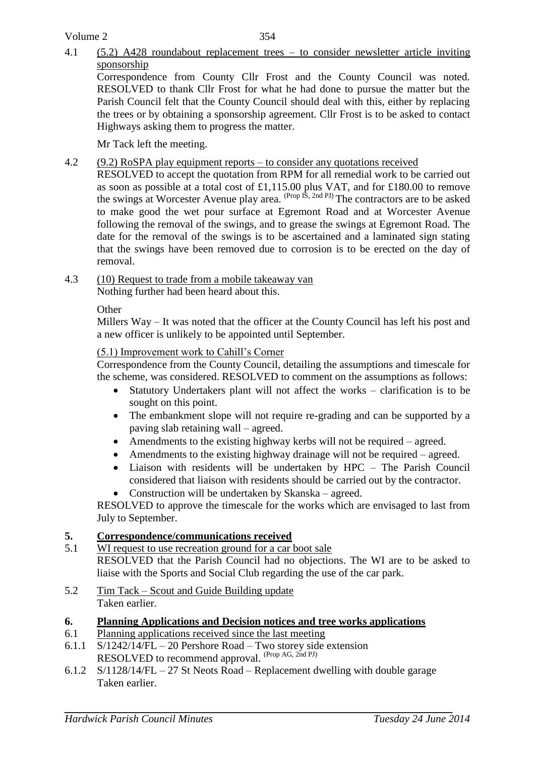Volume 2

## 4.1 (5.2) A428 roundabout replacement trees – to consider newsletter article inviting sponsorship

Correspondence from County Cllr Frost and the County Council was noted. RESOLVED to thank Cllr Frost for what he had done to pursue the matter but the Parish Council felt that the County Council should deal with this, either by replacing the trees or by obtaining a sponsorship agreement. Cllr Frost is to be asked to contact Highways asking them to progress the matter.

Mr Tack left the meeting.

## 4.2 (9.2) RoSPA play equipment reports – to consider any quotations received

RESOLVED to accept the quotation from RPM for all remedial work to be carried out as soon as possible at a total cost of £1,115.00 plus VAT, and for £180.00 to remove the swings at Worcester Avenue play area. <sup>(Prop IS, 2nd PJ)</sup> The contractors are to be asked to make good the wet pour surface at Egremont Road and at Worcester Avenue following the removal of the swings, and to grease the swings at Egremont Road. The date for the removal of the swings is to be ascertained and a laminated sign stating that the swings have been removed due to corrosion is to be erected on the day of removal.

4.3 (10) Request to trade from a mobile takeaway van Nothing further had been heard about this.

**Other** 

Millers Way – It was noted that the officer at the County Council has left his post and a new officer is unlikely to be appointed until September.

## (5.1) Improvement work to Cahill's Corner

Correspondence from the County Council, detailing the assumptions and timescale for the scheme, was considered. RESOLVED to comment on the assumptions as follows:

- Statutory Undertakers plant will not affect the works clarification is to be sought on this point.
- The embankment slope will not require re-grading and can be supported by a paving slab retaining wall – agreed.
- Amendments to the existing highway kerbs will not be required agreed.
- Amendments to the existing highway drainage will not be required agreed.
- Liaison with residents will be undertaken by HPC The Parish Council considered that liaison with residents should be carried out by the contractor.
- Construction will be undertaken by Skanska agreed.

RESOLVED to approve the timescale for the works which are envisaged to last from July to September.

## **5. Correspondence/communications received**

- 5.1 WI request to use recreation ground for a car boot sale RESOLVED that the Parish Council had no objections. The WI are to be asked to liaise with the Sports and Social Club regarding the use of the car park.
- 5.2 Tim Tack Scout and Guide Building update Taken earlier.

## **6. Planning Applications and Decision notices and tree works applications**

- 6.1 Planning applications received since the last meeting
- 6.1.1 S/1242/14/FL 20 Pershore Road Two storey side extension RESOLVED to recommend approval. (Prop AG, 2nd PJ)
- 6.1.2 S/1128/14/FL 27 St Neots Road Replacement dwelling with double garage Taken earlier.